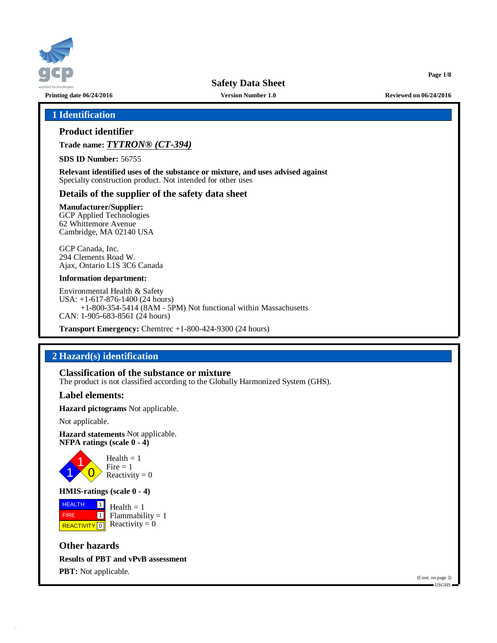

**Printing date 06/24/2016 Version Number 1.0 Reviewed on 06/24/2016**

### **1 Identification**

# **Product identifier**

**Trade name:** *TYTRON® (CT-394)*

**SDS ID Number:** 56755

**Relevant identified uses of the substance or mixture, and uses advised against** Specialty construction product. Not intended for other uses

### **Details of the supplier of the safety data sheet**

**Manufacturer/Supplier:** GCP Applied Technologies 62 Whittemore Avenue

Cambridge, MA 02140 USA GCP Canada, Inc.

294 Clements Road W. Ajax, Ontario L1S 3C6 Canada

### **Information department:**

Environmental Health & Safety USA: +1-617-876-1400 (24 hours) +1-800-354-5414 (8AM - 5PM) Not functional within Massachusetts CAN: 1-905-683-8561 (24 hours)

**Transport Emergency:** Chemtrec +1-800-424-9300 (24 hours)

# **2 Hazard(s) identification**

### **Classification of the substance or mixture**

The product is not classified according to the Globally Harmonized System (GHS).

### **Label elements:**

**Hazard pictograms** Not applicable.

Not applicable.

**Hazard statements** Not applicable. **NFPA ratings (scale 0 - 4)**



**HMIS-ratings (scale 0 - 4)**

 HEALTH FIRE REACTIVITY  $\boxed{0}$  Reactivity = 0  $\frac{1}{2}$  Health = 1  $\boxed{1}$  $Flammability = 1$ 

**Other hazards Results of PBT and vPvB assessment PBT:** Not applicable.

(Cont. on page 2) USGHS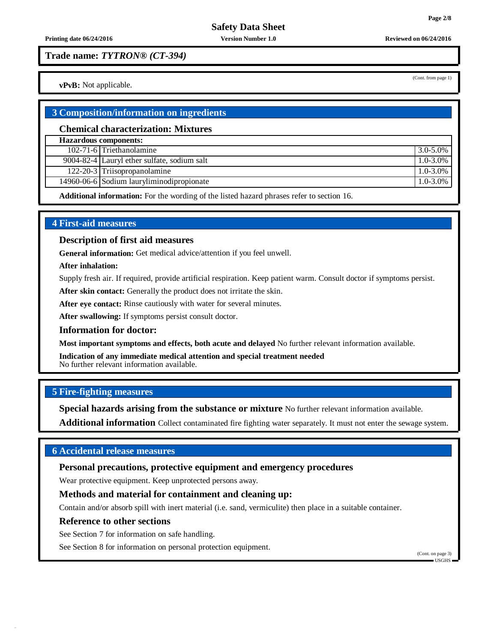**Trade name:** *TYTRON® (CT-394)*

**vPvB:** Not applicable.

### **3 Composition/information on ingredients**

### **Chemical characterization: Mixtures**

| <b>Hazardous components:</b> |                                             |               |  |  |  |
|------------------------------|---------------------------------------------|---------------|--|--|--|
|                              | 102-71-6 Triethanolamine                    | 3.0-5.0%      |  |  |  |
|                              | 9004-82-4 Lauryl ether sulfate, sodium salt | $1.0 - 3.0\%$ |  |  |  |
|                              | 122-20-3 Triisopropanolamine                | $1.0 - 3.0\%$ |  |  |  |
|                              | 14960-06-6 Sodium lauryliminodipropionate   | $1.0 - 3.0\%$ |  |  |  |

**Additional information:** For the wording of the listed hazard phrases refer to section 16.

# **4 First-aid measures**

### **Description of first aid measures**

**General information:** Get medical advice/attention if you feel unwell.

**After inhalation:**

Supply fresh air. If required, provide artificial respiration. Keep patient warm. Consult doctor if symptoms persist.

**After skin contact:** Generally the product does not irritate the skin.

**After eye contact:** Rinse cautiously with water for several minutes.

**After swallowing:** If symptoms persist consult doctor.

### **Information for doctor:**

**Most important symptoms and effects, both acute and delayed** No further relevant information available.

**Indication of any immediate medical attention and special treatment needed** No further relevant information available.

### **5 Fire-fighting measures**

**Special hazards arising from the substance or mixture** No further relevant information available.

**Additional information** Collect contaminated fire fighting water separately. It must not enter the sewage system.

# **6 Accidental release measures**

**Personal precautions, protective equipment and emergency procedures**

Wear protective equipment. Keep unprotected persons away.

## **Methods and material for containment and cleaning up:**

Contain and/or absorb spill with inert material (i.e. sand, vermiculite) then place in a suitable container.

### **Reference to other sections**

See Section 7 for information on safe handling.

See Section 8 for information on personal protection equipment.

(Cont. on page 3) USGHS

(Cont. from page 1)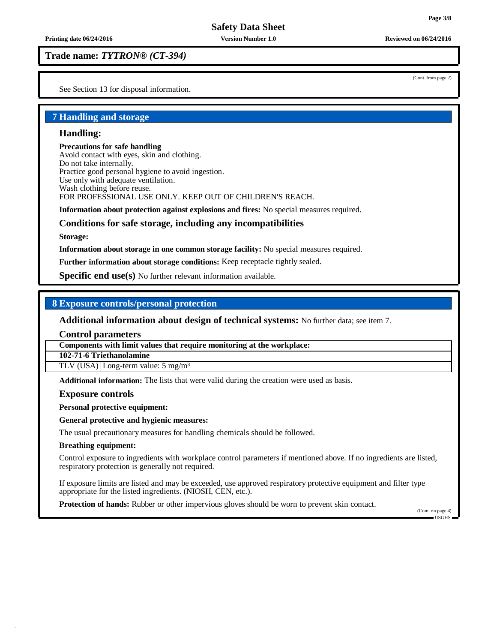**Printing date 06/24/2016 Version Number 1.0 Reviewed on 06/24/2016**

**Trade name:** *TYTRON® (CT-394)*

See Section 13 for disposal information.

### **7 Handling and storage**

### **Handling:**

**Precautions for safe handling** Avoid contact with eyes, skin and clothing. Do not take internally. Practice good personal hygiene to avoid ingestion. Use only with adequate ventilation. Wash clothing before reuse. FOR PROFESSIONAL USE ONLY. KEEP OUT OF CHILDREN'S REACH.

**Information about protection against explosions and fires:** No special measures required.

### **Conditions for safe storage, including any incompatibilities**

**Storage:**

**Information about storage in one common storage facility:** No special measures required.

**Further information about storage conditions:** Keep receptacle tightly sealed.

**Specific end use(s)** No further relevant information available.

### **8 Exposure controls/personal protection**

**Additional information about design of technical systems:** No further data; see item 7.

**Control parameters**

**Components with limit values that require monitoring at the workplace:**

**102-71-6 Triethanolamine**

TLV (USA) Long-term value: 5 mg/m<sup>3</sup>

**Additional information:** The lists that were valid during the creation were used as basis.

**Exposure controls**

**Personal protective equipment:**

**General protective and hygienic measures:**

The usual precautionary measures for handling chemicals should be followed.

### **Breathing equipment:**

Control exposure to ingredients with workplace control parameters if mentioned above. If no ingredients are listed, respiratory protection is generally not required.

If exposure limits are listed and may be exceeded, use approved respiratory protective equipment and filter type appropriate for the listed ingredients. (NIOSH, CEN, etc.).

**Protection of hands:** Rubber or other impervious gloves should be worn to prevent skin contact.

(Cont. on page 4) USGHS

(Cont. from page 2)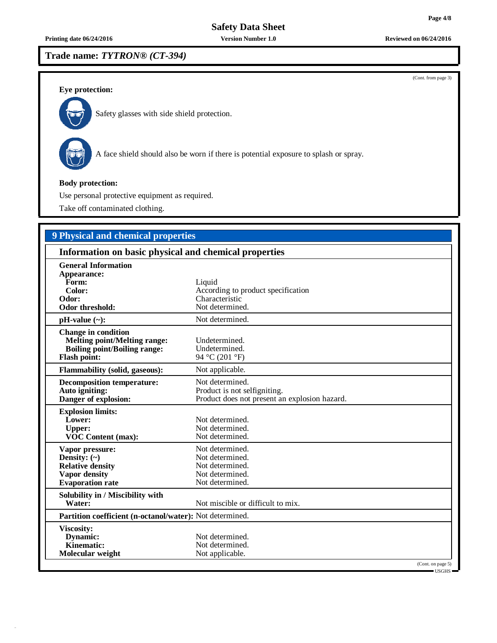**Trade name:** *TYTRON® (CT-394)*

**Eye protection:**



Safety glasses with side shield protection.



A face shield should also be worn if there is potential exposure to splash or spray.

### **Body protection:**

Use personal protective equipment as required.

Take off contaminated clothing.

# **9 Physical and chemical properties**

| Information on basic physical and chemical properties                                                                           |                                                                                                  |  |  |  |  |
|---------------------------------------------------------------------------------------------------------------------------------|--------------------------------------------------------------------------------------------------|--|--|--|--|
| <b>General Information</b><br>Appearance:<br>Form:<br>Color:<br>Odor:<br>Odor threshold:                                        | Liquid<br>According to product specification<br>Characteristic<br>Not determined.                |  |  |  |  |
| $pH-value$ (~):                                                                                                                 | Not determined.                                                                                  |  |  |  |  |
| <b>Change in condition</b><br><b>Melting point/Melting range:</b><br><b>Boiling point/Boiling range:</b><br><b>Flash point:</b> | Undetermined.<br>Undetermined.<br>94 °C (201 °F)                                                 |  |  |  |  |
| <b>Flammability (solid, gaseous):</b>                                                                                           | Not applicable.                                                                                  |  |  |  |  |
| <b>Decomposition temperature:</b><br>Auto igniting:<br>Danger of explosion:                                                     | Not determined.<br>Product is not selfigniting.<br>Product does not present an explosion hazard. |  |  |  |  |
| <b>Explosion limits:</b><br>Lower:<br><b>Upper:</b><br><b>VOC Content (max):</b>                                                | Not determined.<br>Not determined.<br>Not determined.                                            |  |  |  |  |
| Vapor pressure:<br>Density: $(\sim)$<br><b>Relative density</b><br><b>Vapor density</b><br><b>Evaporation</b> rate              | Not determined.<br>Not determined.<br>Not determined.<br>Not determined.<br>Not determined.      |  |  |  |  |
| Solubility in / Miscibility with<br>Water:                                                                                      | Not miscible or difficult to mix.                                                                |  |  |  |  |
| Partition coefficient (n-octanol/water): Not determined.                                                                        |                                                                                                  |  |  |  |  |
| Viscosity:<br>Dynamic:<br>Kinematic:<br>Molecular weight                                                                        | Not determined.<br>Not determined.<br>Not applicable.<br>(Cont. on page 5)                       |  |  |  |  |
|                                                                                                                                 | $\blacksquare$ I ISGHS $\blacksquare$                                                            |  |  |  |  |

**Printing date 06/24/2016 Version Number 1.0 Reviewed on 06/24/2016**

(Cont. from page 3)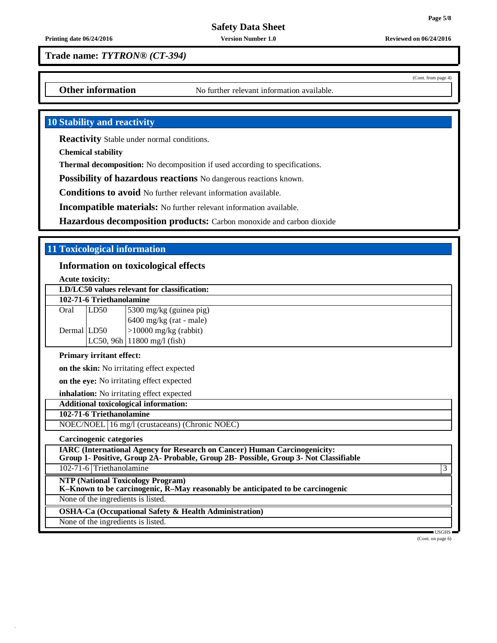(Cont. from page 4)

**Safety Data Sheet**

**Printing date 06/24/2016 Version Number 1.0 Reviewed on 06/24/2016**

**Trade name:** *TYTRON® (CT-394)*

**Other information** No further relevant information available.

# **10 Stability and reactivity**

**Reactivity** Stable under normal conditions.

**Chemical stability**

**Thermal decomposition:** No decomposition if used according to specifications.

**Possibility of hazardous reactions** No dangerous reactions known.

**Conditions to avoid** No further relevant information available.

**Incompatible materials:** No further relevant information available.

**Hazardous decomposition products:** Carbon monoxide and carbon dioxide

# **11 Toxicological information**

### **Information on toxicological effects**

**Acute toxicity:**

| LD/LC50 values relevant for classification: |      |                                  |  |  |  |  |
|---------------------------------------------|------|----------------------------------|--|--|--|--|
| 102-71-6 Triethanolamine                    |      |                                  |  |  |  |  |
| Oral                                        | LD50 | 5300 mg/kg (guinea pig)          |  |  |  |  |
|                                             |      | $6400$ mg/kg (rat - male)        |  |  |  |  |
| Dermal LD50                                 |      | $>10000$ mg/kg (rabbit)          |  |  |  |  |
|                                             |      | $LC50$ , 96h   11800 mg/l (fish) |  |  |  |  |

### **Primary irritant effect:**

**on the skin:** No irritating effect expected

**on the eye:** No irritating effect expected

**inhalation:** No irritating effect expected

# **Additional toxicological information:**

### **102-71-6 Triethanolamine**

NOEC/NOEL 16 mg/l (crustaceans) (Chronic NOEC)

**Carcinogenic categories**

**IARC (International Agency for Research on Cancer) Human Carcinogenicity:**

**Group 1- Positive, Group 2A- Probable, Group 2B- Possible, Group 3- Not Classifiable**

102-71-6 Triethanolamine 3

**NTP (National Toxicology Program)**

**K–Known to be carcinogenic, R–May reasonably be anticipated to be carcinogenic**

None of the ingredients is listed.

**OSHA-Ca (Occupational Safety & Health Administration)**

None of the ingredients is listed.

USGHS

(Cont. on page 6)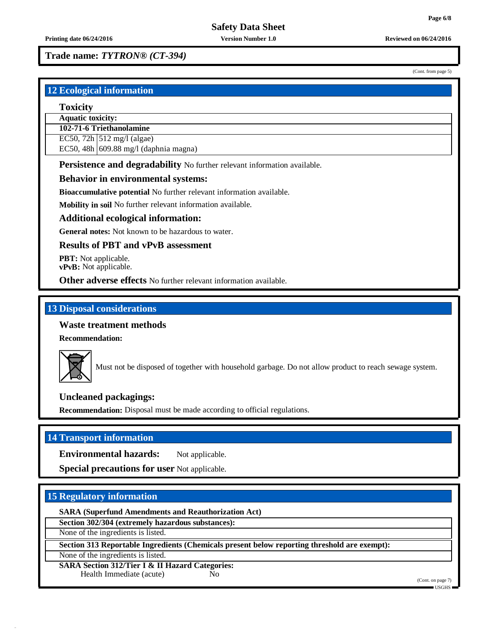(Cont. from page 5)

### **Trade name:** *TYTRON® (CT-394)*

# **12 Ecological information**

### **Toxicity**

**Aquatic toxicity:**

**102-71-6 Triethanolamine**

EC50, 72h  $\vert$  512 mg/l (algae)

EC50, 48h  $\vert$  609.88 mg/l (daphnia magna)

**Persistence and degradability** No further relevant information available.

### **Behavior in environmental systems:**

**Bioaccumulative potential** No further relevant information available.

**Mobility in soil** No further relevant information available.

### **Additional ecological information:**

**General notes:** Not known to be hazardous to water.

### **Results of PBT and vPvB assessment**

**PBT:** Not applicable. **vPvB:** Not applicable.

**Other adverse effects** No further relevant information available.

### **13 Disposal considerations**

### **Waste treatment methods**

**Recommendation:**



Must not be disposed of together with household garbage. Do not allow product to reach sewage system.

### **Uncleaned packagings:**

**Recommendation:** Disposal must be made according to official regulations.

# **14 Transport information**

**Environmental hazards:** Not applicable.

**Special precautions for user** Not applicable.

### **15 Regulatory information**

**SARA (Superfund Amendments and Reauthorization Act)**

**Section 302/304 (extremely hazardous substances):**

None of the ingredients is listed.

**Section 313 Reportable Ingredients (Chemicals present below reporting threshold are exempt):**

None of the ingredients is listed.

**SARA Section 312/Tier I & II Hazard Categories:** Health Immediate (acute) No

(Cont. on page 7)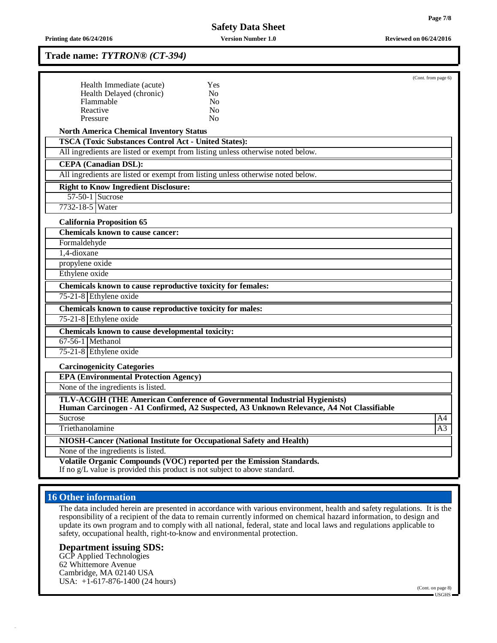### **Trade name:** *TYTRON® (CT-394)*

|                                                                                 |                                                                                                                                                                       | (Cont. from page 6) |
|---------------------------------------------------------------------------------|-----------------------------------------------------------------------------------------------------------------------------------------------------------------------|---------------------|
| Health Immediate (acute)                                                        | Yes                                                                                                                                                                   |                     |
| Health Delayed (chronic)<br>Flammable                                           | N <sub>0</sub><br>N <sub>0</sub>                                                                                                                                      |                     |
| Reactive                                                                        | N <sub>0</sub>                                                                                                                                                        |                     |
| Pressure                                                                        | No                                                                                                                                                                    |                     |
| <b>North America Chemical Inventory Status</b>                                  |                                                                                                                                                                       |                     |
| <b>TSCA (Toxic Substances Control Act - United States):</b>                     |                                                                                                                                                                       |                     |
| All ingredients are listed or exempt from listing unless otherwise noted below. |                                                                                                                                                                       |                     |
| <b>CEPA</b> (Canadian DSL):                                                     |                                                                                                                                                                       |                     |
| All ingredients are listed or exempt from listing unless otherwise noted below. |                                                                                                                                                                       |                     |
| <b>Right to Know Ingredient Disclosure:</b>                                     |                                                                                                                                                                       |                     |
| 57-50-1 Sucrose                                                                 |                                                                                                                                                                       |                     |
| 7732-18-5 Water                                                                 |                                                                                                                                                                       |                     |
| <b>California Proposition 65</b>                                                |                                                                                                                                                                       |                     |
| <b>Chemicals known to cause cancer:</b>                                         |                                                                                                                                                                       |                     |
| Formaldehyde                                                                    |                                                                                                                                                                       |                     |
| 1,4-dioxane                                                                     |                                                                                                                                                                       |                     |
| propylene oxide                                                                 |                                                                                                                                                                       |                     |
| Ethylene oxide                                                                  |                                                                                                                                                                       |                     |
| Chemicals known to cause reproductive toxicity for females:                     |                                                                                                                                                                       |                     |
| 75-21-8 Ethylene oxide                                                          |                                                                                                                                                                       |                     |
| Chemicals known to cause reproductive toxicity for males:                       |                                                                                                                                                                       |                     |
| 75-21-8 Ethylene oxide                                                          |                                                                                                                                                                       |                     |
| Chemicals known to cause developmental toxicity:                                |                                                                                                                                                                       |                     |
| $67-56-1$ Methanol                                                              |                                                                                                                                                                       |                     |
| 75-21-8 Ethylene oxide                                                          |                                                                                                                                                                       |                     |
| <b>Carcinogenicity Categories</b>                                               |                                                                                                                                                                       |                     |
| <b>EPA (Environmental Protection Agency)</b>                                    |                                                                                                                                                                       |                     |
| None of the ingredients is listed.                                              |                                                                                                                                                                       |                     |
|                                                                                 | TLV-ACGIH (THE American Conference of Governmental Industrial Hygienists)<br>Human Carcinogen - A1 Confirmed, A2 Suspected, A3 Unknown Relevance, A4 Not Classifiable |                     |
| <b>Sucrose</b>                                                                  |                                                                                                                                                                       | A4                  |
| Triethanolamine                                                                 |                                                                                                                                                                       | A3                  |
| NIOSH-Cancer (National Institute for Occupational Safety and Health)            |                                                                                                                                                                       |                     |
| None of the ingredients is listed.                                              |                                                                                                                                                                       |                     |
| If no g/L value is provided this product is not subject to above standard.      | Volatile Organic Compounds (VOC) reported per the Emission Standards.                                                                                                 |                     |

# **16 Other information**

The data included herein are presented in accordance with various environment, health and safety regulations. It is the responsibility of a recipient of the data to remain currently informed on chemical hazard information, to design and update its own program and to comply with all national, federal, state and local laws and regulations applicable to safety, occupational health, right-to-know and environmental protection.

### **Department issuing SDS:**

GCP Applied Technologies 62 Whittemore Avenue Cambridge, MA 02140 USA USA: +1-617-876-1400 (24 hours)

(Cont. on page 8) USGHS